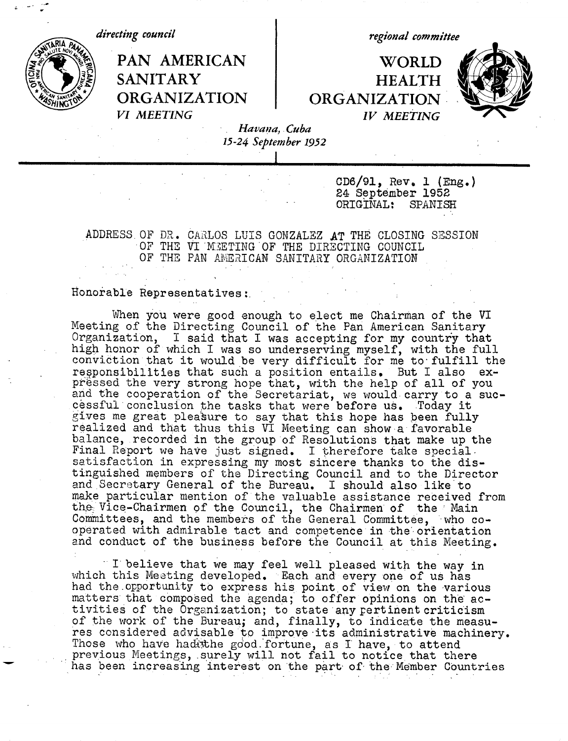

*regional committee*

## **r AMERICAN 1 WORLD** SANITARY **HEALTH**<br>ORGANIZATION ORGANIZATION **ORGANIZATION ORGANIZATION** *VI MEETING IV MEETING*



*Havana, Cuba 15-24 September 1952*

> CD6/91, Rev, 1 (Eng.) 24 September 1952<br>ORIGINAL: SPANISH ORIGINAL:

ADDRESS.OF DR. CARLOS LUIS GONZALEZ AT THE CLOSING SESSION OF THE VI MEETING OF THE DIRECTING COUNCIL OF THE PAN AMERICAN SANITARY ORGANIZATION

## Honorable Representatives:.

When you were good enough to elect me Chairman of the VI Meeting of the Directing Council of the Pan American Sanitary Organization, I said that I was accepting for my country that high honor of which I was so underserving myself, with the full conviction that it would be very difficult for me to'fulfill the responsibilities that such a position entails. But I also expressed the very strong hope that, with the help of all of you and the cooperation of the Secretariat, we would carry to a successful conclusion the tasks that were before us. Today it gives me great pleasure to say that this hope has been fully realized and that thus this VI Meeting can show a favorable balance, recorded in the group of Resolutions that make up the Final Report we have just signed. I therefore take specialsatisfaction in expressing my most sincere thanks to the distinguished members of the Directing Council and to the Director and Secretary General of the Bureau. I should also like'to make particular mention of the valuable assistance received from the Vice-Chairmen of the Council, the Chairmen of the Main Committees, and the members of the General Committee, who cooperated with admirable tact and competence in the'orientation and conduct of the business before the Council at this Meeting.

I believe that we may feel well pleased with the way in which this Meeting developed. Each and every one of us has had the.opportunity to express his point of view on the various matters that composed the agenda; to offer opinions on the activities of the Organization; to state any pertinent criticism of the work of the Bureau; and, finally, to indicate the measures considered advisable to improve its administrative machinery. Those who have had the good fortune, as I have, to attend previous Meetings, surely will not fail to notice that there has been increasing interest on the part of the Member Countries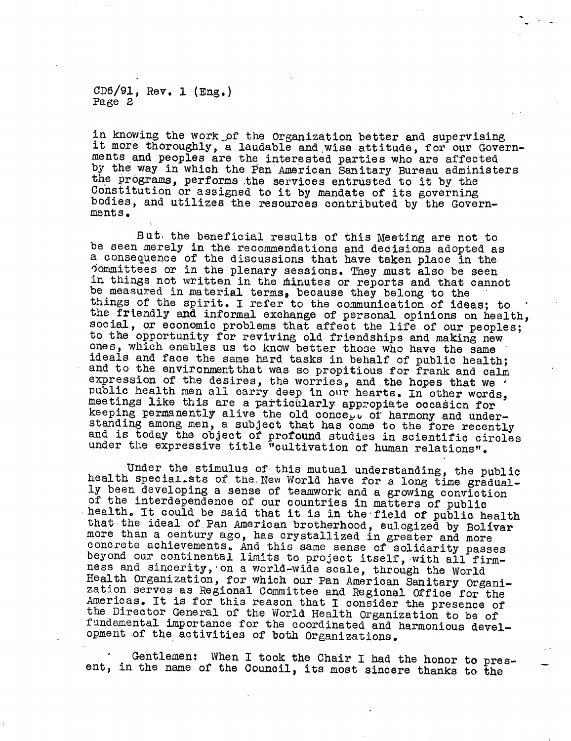CD6/91, Rev. 1 (Eng.) Page 2

in knowing the work of the Organization better and supervising it more thoroughly, a laudable and wise attitude, for our Governments and peoples are the interested parties who are affected by the way in which the Pan American Sanitary Bureau administers the programs, performs the services entrusted to it by the Constitution or assigned to it by mandate of its governing bodies, and utilizes the resources contributed by the Government s.

But. the beneficial results of this Meeting are not to be seen merely in the recommendations and decisions adopted as a consequence of the discussions that have taken place in the Jommittees or in the plenary sessions. They must also be seen<br>in things not written in the minutes or reports and that cannot<br>be measured in material terms, because they belong to the<br>things of the spirit. I refer to the c ideals and face the same hard tasks in behalf of public health;<br>and to the environment that was so propitious for frank and calm<br>expression of the desires, the worries, and the hopes that we<br>public health men all carry dee

Under the stimulus of this mutual understanding, the public<br>health specialists of the New World have for a long time gradual-<br>ly been developing a sense of teamwork and a growing conviction<br>of the interdependence of our co that the ideal of Pan American brotherhood, eulogized by Bolivar more than a century ago, has crystallized in greater and more concrete achievements. And this same sense of solidarity passes beyond our continental limits to project itself, with all firmness and sincerity, on a world-wide scale, through the World<br>Health Organization, for which our Pan American Sanitary Organization serves as Regional Committee and Regional Office for the Americas. It is for this reason that I consider the presence of the Director General of the World Health Organization to be of fundamental importance for the opment of the activities of both Organizations.

Gentlemen: When I took the Chair I had the honor to pres- ent, in the name of the Council, its most sincere thanks to the